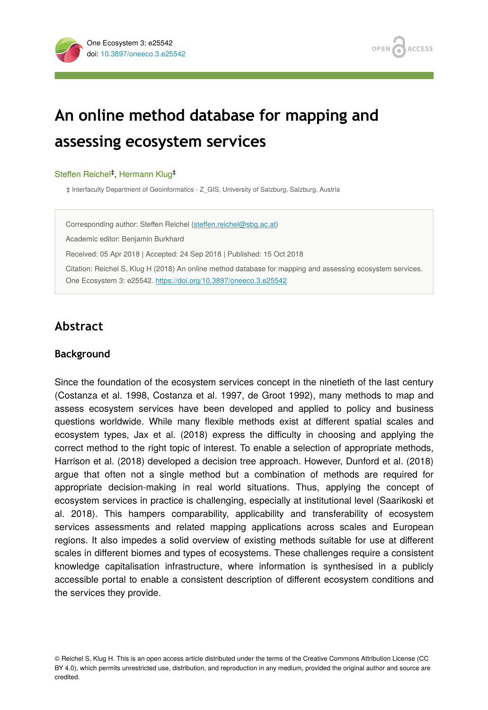

# **An online method database for mapping and assessing ecosystem services**

#### Steffen Reichel<sup>‡</sup>, Hermann Klug<sup>‡</sup>

‡ Interfaculty Department of Geoinformatics - Z\_GIS, University of Salzburg, Salzburg, Austria

Corresponding author: Steffen Reichel (steff[en.reichel@sbg.ac.at](mailto:steffen.reichel@sbg.ac.at))

Academic editor: Benjamin Burkhard

Received: 05 Apr 2018 | Accepted: 24 Sep 2018 | Published: 15 Oct 2018

Citation: Reichel S, Klug H (2018) An online method database for mapping and assessing ecosystem services. One Ecosystem 3: e25542.<https://doi.org/10.3897/oneeco.3.e25542>

### **Abstract**

#### **Background**

Since the foundation of the ecosystem services concept in the ninetieth of the last century (Costanza et al. 1998, Costanza et al. 1997, de Groot 1992), many methods to map and assess ecosystem services have been developed and applied to policy and business questions worldwide. While many flexible methods exist at different spatial scales and ecosystem types, Jax et al. (2018) express the difficulty in choosing and applying the correct method to the right topic of interest. To enable a selection of appropriate methods, Harrison et al. (2018) developed a decision tree approach. However, Dunford et al. (2018) argue that often not a single method but a combination of methods are required for appropriate decision-making in real world situations. Thus, applying the concept of ecosystem services in practice is challenging, especially at institutional level (Saarikoski et al. 2018). This hampers comparability, applicability and transferability of ecosystem services assessments and related mapping applications across scales and European regions. It also impedes a solid overview of existing methods suitable for use at different scales in different biomes and types of ecosystems. These challenges require a consistent knowledge capitalisation infrastructure, where information is synthesised in a publicly accessible portal to enable a consistent description of different ecosystem conditions and the services they provide.

© Reichel S, Klug H. This is an open access article distributed under the terms of the Creative Commons Attribution License (CC BY 4.0), which permits unrestricted use, distribution, and reproduction in any medium, provided the original author and source are credited.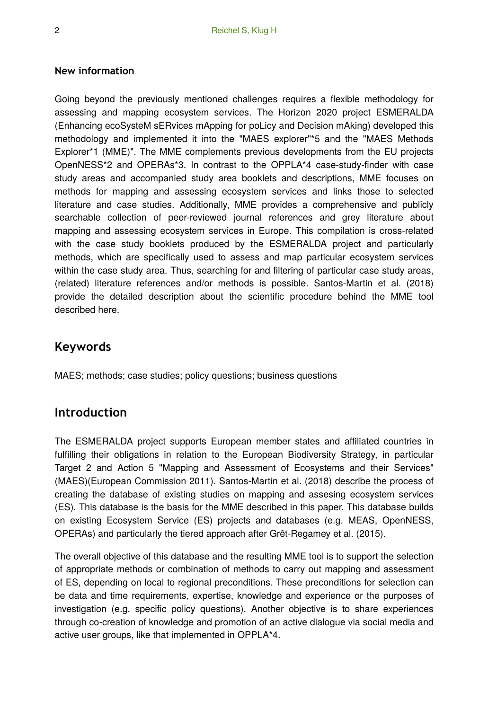### **New information**

Going beyond the previously mentioned challenges requires a flexible methodology for assessing and mapping ecosystem services. The Horizon 2020 project ESMERALDA (Enhancing ecoSysteM sERvices mApping for poLicy and Decision mAking) developed this methodology and implemented it into the "MAES explorer"\*5 and the "MAES Methods Explorer\*1 (MME)". The MME complements previous developments from the EU projects OpenNESS\*2 and OPERAs\*3. In contrast to the OPPLA\*4 case-study-finder with case study areas and accompanied study area booklets and descriptions, MME focuses on methods for mapping and assessing ecosystem services and links those to selected literature and case studies. Additionally, MME provides a comprehensive and publicly searchable collection of peer-reviewed journal references and grey literature about mapping and assessing ecosystem services in Europe. This compilation is cross-related with the case study booklets produced by the ESMERALDA project and particularly methods, which are specifically used to assess and map particular ecosystem services within the case study area. Thus, searching for and filtering of particular case study areas, (related) literature references and/or methods is possible. Santos-Martin et al. (2018) provide the detailed description about the scientific procedure behind the MME tool described here.

### **Keywords**

MAES; methods; case studies; policy questions; business questions

### **Introduction**

The ESMERALDA project supports European member states and affiliated countries in fulfilling their obligations in relation to the European Biodiversity Strategy, in particular Target 2 and Action 5 "Mapping and Assessment of Ecosystems and their Services" (MAES)(European Commission 2011). Santos-Martin et al. (2018) describe the process of creating the database of existing studies on mapping and assesing ecosystem services (ES). This database is the basis for the MME described in this paper. This database builds on existing Ecosystem Service (ES) projects and databases (e.g. MEAS, OpenNESS, OPERAs) and particularly the tiered approach after Grêt-Regamey et al. (2015).

The overall objective of this database and the resulting MME tool is to support the selection of appropriate methods or combination of methods to carry out mapping and assessment of ES, depending on local to regional preconditions. These preconditions for selection can be data and time requirements, expertise, knowledge and experience or the purposes of investigation (e.g. specific policy questions). Another objective is to share experiences through co-creation of knowledge and promotion of an active dialogue via social media and active user groups, like that implemented in OPPLA\*4.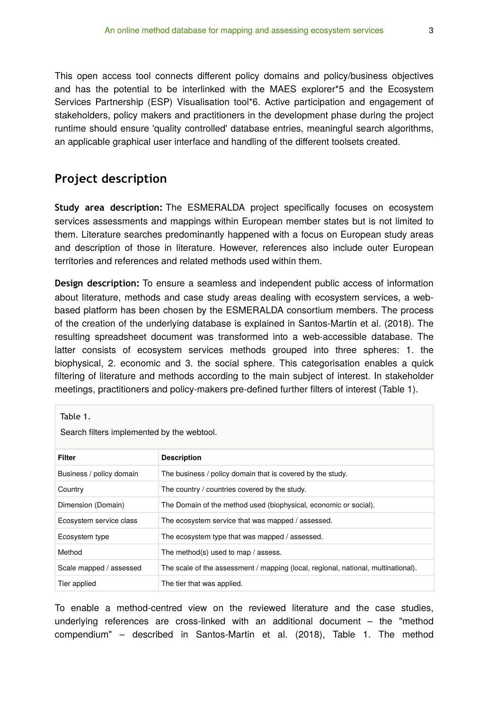This open access tool connects different policy domains and policy/business objectives and has the potential to be interlinked with the MAES explorer\*5 and the Ecosystem Services Partnership (ESP) Visualisation tool\*6. Active participation and engagement of stakeholders, policy makers and practitioners in the development phase during the project runtime should ensure 'quality controlled' database entries, meaningful search algorithms, an applicable graphical user interface and handling of the different toolsets created.

### **Project description**

**Study area description:** The ESMERALDA project specifically focuses on ecosystem services assessments and mappings within European member states but is not limited to them. Literature searches predominantly happened with a focus on European study areas and description of those in literature. However, references also include outer European territories and references and related methods used within them.

**Design description:** To ensure a seamless and independent public access of information about literature, methods and case study areas dealing with ecosystem services, a webbased platform has been chosen by the ESMERALDA consortium members. The process of the creation of the underlying database is explained in Santos-Martin et al. (2018). The resulting spreadsheet document was transformed into a web-accessible database. The latter consists of ecosystem services methods grouped into three spheres: 1. the biophysical, 2. economic and 3. the social sphere. This categorisation enables a quick filtering of literature and methods according to the main subject of interest. In stakeholder meetings, practitioners and policy-makers pre-defined further filters of interest (Table 1).

| Table 1.<br>Search filters implemented by the webtool. |                                                                                   |
|--------------------------------------------------------|-----------------------------------------------------------------------------------|
| Filter                                                 | <b>Description</b>                                                                |
| Business / policy domain                               | The business / policy domain that is covered by the study.                        |
| Country                                                | The country / countries covered by the study.                                     |
| Dimension (Domain)                                     | The Domain of the method used (biophysical, economic or social).                  |
| Ecosystem service class                                | The ecosystem service that was mapped / assessed.                                 |
| Ecosystem type                                         | The ecosystem type that was mapped / assessed.                                    |
| Method                                                 | The method(s) used to map / assess.                                               |
| Scale mapped / assessed                                | The scale of the assessment / mapping (local, regional, national, multinational). |
| Tier applied                                           | The tier that was applied.                                                        |

To enable a method-centred view on the reviewed literature and the case studies, underlying references are cross-linked with an additional document – the "method compendium" – described in Santos-Martin et al. (2018), Table 1. The method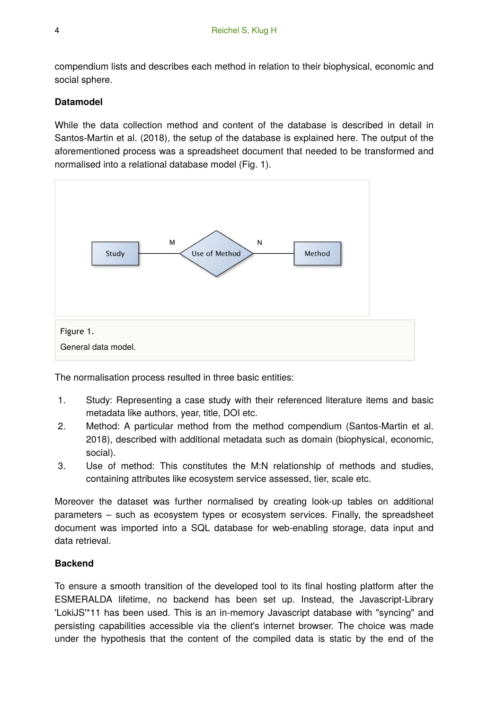compendium lists and describes each method in relation to their biophysical, economic and social sphere.

### **Datamodel**

While the data collection method and content of the database is described in detail in Santos-Martin et al. (2018), the setup of the database is explained here. The output of the aforementioned process was a spreadsheet document that needed to be transformed and normalised into a relational database model (Fig. 1).



The normalisation process resulted in three basic entities:

- 1. Study: Representing a case study with their referenced literature items and basic metadata like authors, year, title, DOI etc.
- 2. Method: A particular method from the method compendium (Santos-Martin et al. 2018), described with additional metadata such as domain (biophysical, economic, social).
- 3. Use of method: This constitutes the M:N relationship of methods and studies, containing attributes like ecosystem service assessed, tier, scale etc.

Moreover the dataset was further normalised by creating look-up tables on additional parameters – such as ecosystem types or ecosystem services. Finally, the spreadsheet document was imported into a SQL database for web-enabling storage, data input and data retrieval.

### **Backend**

To ensure a smooth transition of the developed tool to its final hosting platform after the ESMERALDA lifetime, no backend has been set up. Instead, the Javascript-Library 'LokiJS'\*11 has been used. This is an in-memory Javascript database with "syncing" and persisting capabilities accessible via the client's internet browser. The choice was made under the hypothesis that the content of the compiled data is static by the end of the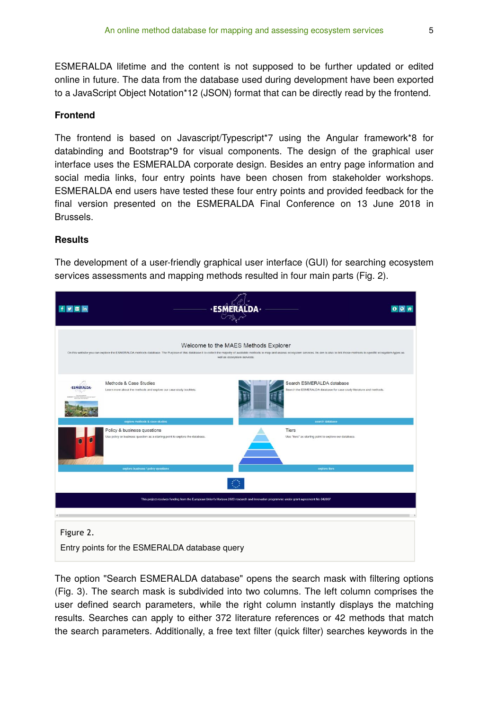ESMERALDA lifetime and the content is not supposed to be further updated or edited online in future. The data from the database used during development have been exported to a JavaScript Object Notation\*12 (JSON) format that can be directly read by the frontend.

#### **Frontend**

The frontend is based on Javascript/Typescript\*7 using the Angular framework\*8 for databinding and Bootstrap\*9 for visual components. The design of the graphical user interface uses the ESMERALDA corporate design. Besides an entry page information and social media links, four entry points have been chosen from stakeholder workshops. ESMERALDA end users have tested these four entry points and provided feedback for the final version presented on the ESMERALDA Final Conference on 13 June 2018 in Brussels.

#### **Results**

The development of a user-friendly graphical user interface (GUI) for searching ecosystem services assessments and mapping methods resulted in four main parts (Fig. 2).

| Ŧ<br>in.<br>G <sub>2</sub> |                                                                                                                                                                                                                                                                        |                             |                                                                                                   |
|----------------------------|------------------------------------------------------------------------------------------------------------------------------------------------------------------------------------------------------------------------------------------------------------------------|-----------------------------|---------------------------------------------------------------------------------------------------|
|                            | Welcome to the MAES Methods Explorer<br>On this website you can explore the ESMERALDA methods database. The Purpose of this database it to collect the majority of available methods to map and assess ecosystem services. Its aim is also to link those methods to sp | well as ecosystem services. |                                                                                                   |
| <b>SMERALDA</b>            | Methods & Case Studies<br>Learn more about the methods and explore our case study booklets.                                                                                                                                                                            |                             | Search ESMERALDA database<br>Search the ESMERALDA database for case study literature and methods. |
|                            | explore methods & case studies<br>Policy & business questions<br>Use policy or business question as a starting point to explore the database.                                                                                                                          |                             | search database<br>Tiers<br>Use "tiers" as starting point to explore our database.                |
|                            | explore business / policy questions                                                                                                                                                                                                                                    |                             | explore tiers                                                                                     |
|                            | This project receives funding from the European Union's Horizon 2020 research and innovation programme under grant agreement No 642007                                                                                                                                 |                             |                                                                                                   |
| Figure 2.                  |                                                                                                                                                                                                                                                                        |                             |                                                                                                   |
|                            | Entry points for the ESMERALDA database query                                                                                                                                                                                                                          |                             |                                                                                                   |

The option "Search ESMERALDA database" opens the search mask with filtering options (Fig. 3). The search mask is subdivided into two columns. The left column comprises the user defined search parameters, while the right column instantly displays the matching results. Searches can apply to either 372 literature references or 42 methods that match the search parameters. Additionally, a free text filter (quick filter) searches keywords in the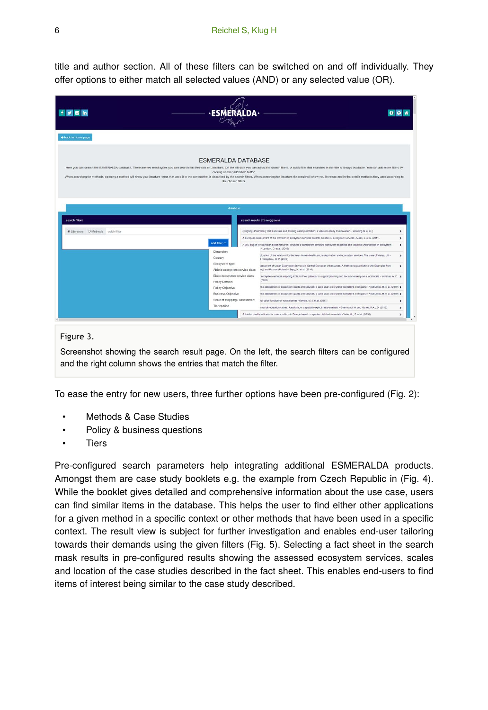title and author section. All of these filters can be switched on and off individually. They offer options to either match all selected values (AND) or any selected value (OR).

| <b>G</b> in                         |                                                                                          |                                                                                                                                                                                                                                                                                                                                                                                                                                                                 |                                |
|-------------------------------------|------------------------------------------------------------------------------------------|-----------------------------------------------------------------------------------------------------------------------------------------------------------------------------------------------------------------------------------------------------------------------------------------------------------------------------------------------------------------------------------------------------------------------------------------------------------------|--------------------------------|
| + back to home page                 |                                                                                          |                                                                                                                                                                                                                                                                                                                                                                                                                                                                 |                                |
|                                     | <b>ESMERALDA DATABASE</b><br>clicking on the "add filter" button.<br>the chosen filters. | Here you can search the ESMERALDA database. There are two result types you can search for: Methods or Literature. On the left side you can adjust the search filters. A quick filter that searches in the title is always avai<br>When searching for methods, opening a method will show you literature items that used it in the context that is described by the search filters. When searching for literature the result will show you literature and in the |                                |
| search filters                      | database                                                                                 | search results 372 tem(s) found                                                                                                                                                                                                                                                                                                                                                                                                                                 |                                |
|                                     |                                                                                          | (Ongoing) Preliminary titel: Land use and drinking water purification: a valuation study from Sweden. - Westling N. et al ()                                                                                                                                                                                                                                                                                                                                    | $\rightarrow$                  |
| C Literature O Methods quick filter | add filter                                                                               | A European assessment of the provision of ecosystem services towards an atlas of ecosystem services - Maes, J. et al. (2011)<br>A OIS plug-in for Bayesian belief networks: Towards a transparent software framework to assess and visualise uncertainties in ecosystem                                                                                                                                                                                         | $\rightarrow$<br>$\rightarrow$ |
|                                     | Dimension<br>Country                                                                     | - Landuxf, D. et al. (2015)<br>ploration of the relationships between human health, social deprivation and ecosystem services: The case of Wales, UK -<br>1 Petropoulo, G. P. (2013)                                                                                                                                                                                                                                                                            | $\rightarrow$                  |
|                                     | Ecosystem type<br>Abiotic ecosystem service class                                        | isessment of Urban Ecosystem Services in Central European Urban areas. A Methodological Outline with Examples from<br>ins) and Poznań (Poland) - Zepp, H. et al. (2016)                                                                                                                                                                                                                                                                                         | $\rightarrow$                  |
|                                     | Biotic ecosystem service class<br>Policy Domain                                          | ecosystem services mapping tools for their potential to support planning and decision-making on a local scale. - Vorstius, A. C. ><br>(2015)<br>the assessment of ecosystem goods and services; a case study on lowtand floodplains in England - Posthumus, H, et al. (2010) 3                                                                                                                                                                                  |                                |
|                                     | Policy Objective<br><b>Business Objective</b>                                            | the assessment of ecosystem goods and services; a case study on lowtand floodplains in England - Posthumus, H. et al. (2010) >                                                                                                                                                                                                                                                                                                                                  |                                |
|                                     | Scale of mapping / assessment<br>Tier applied                                            | hal value function for natural areas - Koetse, M. J. et al. (2017).<br>coastal recreation values: Results from a spatially explicit meta-analysis. - Ghermandi, A. and Nunes, P.A.L.D. (2013).                                                                                                                                                                                                                                                                  | ,<br>$\rightarrow$             |

Screenshot showing the search result page. On the left, the search filters can be configured and the right column shows the entries that match the filter.

To ease the entry for new users, three further options have been pre-configured (Fig. 2):

- Methods & Case Studies
- Policy & business questions
- **Tiers**

Pre-configured search parameters help integrating additional ESMERALDA products. Amongst them are case study booklets e.g. the example from Czech Republic in (Fig. 4). While the booklet gives detailed and comprehensive information about the use case, users can find similar items in the database. This helps the user to find either other applications for a given method in a specific context or other methods that have been used in a specific context. The result view is subject for further investigation and enables end-user tailoring towards their demands using the given filters (Fig. 5). Selecting a fact sheet in the search mask results in pre-configured results showing the assessed ecosystem services, scales and location of the case studies described in the fact sheet. This enables end-users to find items of interest being similar to the case study described.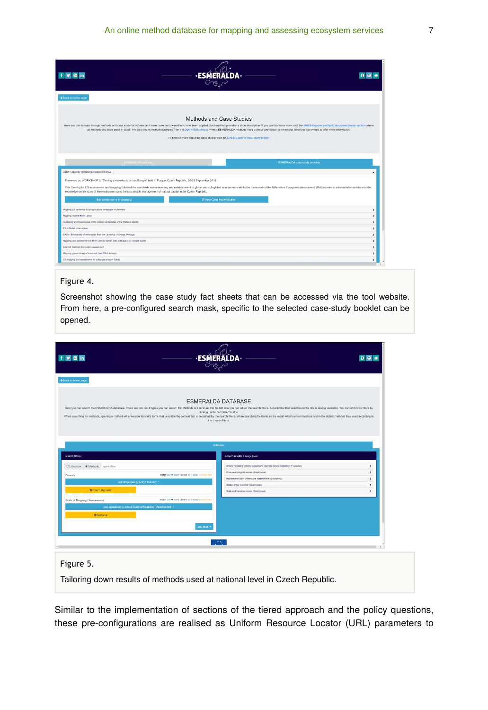| + back to home page                                                                            |                                                                                                                                                                                                                                                                                                                                                                                                                                                                                                                                                                          |                       |
|------------------------------------------------------------------------------------------------|--------------------------------------------------------------------------------------------------------------------------------------------------------------------------------------------------------------------------------------------------------------------------------------------------------------------------------------------------------------------------------------------------------------------------------------------------------------------------------------------------------------------------------------------------------------------------|-----------------------|
|                                                                                                | Methods and Case Studies<br>Here you can browse through methods and case study fact sheets and learn more on how methods have been applied. Each method provides a short description. If you want to know more, visit the MAES-Explorer methods' documenta<br>all methods are descripbed in detail. We also link to method factsheets from the OpenNESS project. Where ESMERALDA methods have a direct counterpart a link to that factsheet is provided to offer more information.<br>To find out more about the case studies visit the MAES-Explorer case study section |                       |
| Czech Republic Pilot National Assessment of ES                                                 | ESMERALDA methods<br><b>ESMERALDA case study booklets</b>                                                                                                                                                                                                                                                                                                                                                                                                                                                                                                                | $\checkmark$          |
| find similar items in database                                                                 | Presented at: WORKSHOP 3: "Testing the methods across Europe" held in Prague, Czech Republic, 26-29 September 2016<br>This Czech pilot ES assessment and mapping followed the worldwide mainstreaming and establishment of global and sub-global assessments within the framework of the Millennium Ecosystem Assessment (MA) in order to substantia<br>knowledge on the state of the environment and the sustainable management of natural capital in the Czech Republic.<br><b>Diview Case Study Booklet</b>                                                           |                       |
| Mapping ES dynamics in an agricultural landscape in Germany                                    |                                                                                                                                                                                                                                                                                                                                                                                                                                                                                                                                                                          | $\rightarrow$         |
| Mapping marine ES in Latvia                                                                    |                                                                                                                                                                                                                                                                                                                                                                                                                                                                                                                                                                          | $\rightarrow$         |
| Assessing and mapping ES in the mosaic landscapes of the Maltese Islands                       |                                                                                                                                                                                                                                                                                                                                                                                                                                                                                                                                                                          | $\lambda$             |
| ES in Polish urban areas                                                                       |                                                                                                                                                                                                                                                                                                                                                                                                                                                                                                                                                                          | $\rightarrow$         |
| BALA - Biodiversity of Arthropods from the Laurisiva of Azores, Portugal                       |                                                                                                                                                                                                                                                                                                                                                                                                                                                                                                                                                                          | $\lambda$             |
| Mapping and assessment of ES in Central Balkan area in Bulgaria at multiple scales             |                                                                                                                                                                                                                                                                                                                                                                                                                                                                                                                                                                          | $\rightarrow$         |
| Spanish National Ecosystem Assessment<br>Mapping green infrastructures and their ES in Antwerp |                                                                                                                                                                                                                                                                                                                                                                                                                                                                                                                                                                          | $\,$<br>$\rightarrow$ |
| ES mapping and assessment for urban planning in Trento                                         |                                                                                                                                                                                                                                                                                                                                                                                                                                                                                                                                                                          |                       |
|                                                                                                |                                                                                                                                                                                                                                                                                                                                                                                                                                                                                                                                                                          | $\rightarrow$         |

#### Figure 4.

Screenshot showing the case study fact sheets that can be accessed via the tool website. From here, a pre-configured search mask, specific to the selected case-study booklet can be opened.

| f <sub>3</sub><br><b>a</b> in                          |                                                                                          |                                                                                                                                                                                                                                                                                                                                                                                                                                                                 | 098                            |
|--------------------------------------------------------|------------------------------------------------------------------------------------------|-----------------------------------------------------------------------------------------------------------------------------------------------------------------------------------------------------------------------------------------------------------------------------------------------------------------------------------------------------------------------------------------------------------------------------------------------------------------|--------------------------------|
| + back to home page                                    |                                                                                          |                                                                                                                                                                                                                                                                                                                                                                                                                                                                 |                                |
|                                                        | <b>ESMERALDA DATABASE</b><br>clicking on the "add filter" button.<br>the chosen filters. | Here you can search the ESMERALDA database. There are two result types you can search for: Methods or Literature. On the left side you can adjust the search filters. A quick filter filters in the title is always available.<br>When searching for methods, opening a method will show you literature items that used it in the context that is described by the search filters. When searching for literature the result will show you literature and in the |                                |
|                                                        | database                                                                                 |                                                                                                                                                                                                                                                                                                                                                                                                                                                                 |                                |
| search filters                                         |                                                                                          | search results 6 needs) found                                                                                                                                                                                                                                                                                                                                                                                                                                   |                                |
| O Literature @ Methods quick filter                    |                                                                                          | Choice modelling (choice experiment, discrete choice modelling) (Economic)                                                                                                                                                                                                                                                                                                                                                                                      | $\rightarrow$                  |
| Country                                                | match any $\Theta$ every   select all $\Theta$ none   whove filter                       | Phenomenological models (Biophysical)<br>Replacement cost (Attenative cost method) (Economic)                                                                                                                                                                                                                                                                                                                                                                   | $\rightarrow$<br>$\rightarrow$ |
| use dropdown to select Country .*                      |                                                                                          | Spatial proxy methods (Biophysical)                                                                                                                                                                                                                                                                                                                                                                                                                             | $\,$                           |
| <b>B</b> Czech Republic                                |                                                                                          | State and transition model (Biophysical)                                                                                                                                                                                                                                                                                                                                                                                                                        | $\,$                           |
| Scale of Mapping / Assessment                          | match any $\alpha$ every   select all $\alpha$ none   mnove fiter                        |                                                                                                                                                                                                                                                                                                                                                                                                                                                                 |                                |
| use dropdown to select Scale of Mapping / Assessment + |                                                                                          |                                                                                                                                                                                                                                                                                                                                                                                                                                                                 |                                |
| <b>B</b> National                                      |                                                                                          |                                                                                                                                                                                                                                                                                                                                                                                                                                                                 |                                |
|                                                        | add filter =                                                                             |                                                                                                                                                                                                                                                                                                                                                                                                                                                                 |                                |
|                                                        |                                                                                          |                                                                                                                                                                                                                                                                                                                                                                                                                                                                 |                                |
|                                                        | <b>State</b>                                                                             |                                                                                                                                                                                                                                                                                                                                                                                                                                                                 |                                |
|                                                        |                                                                                          |                                                                                                                                                                                                                                                                                                                                                                                                                                                                 |                                |
|                                                        |                                                                                          |                                                                                                                                                                                                                                                                                                                                                                                                                                                                 |                                |
| Figure 5.                                              |                                                                                          |                                                                                                                                                                                                                                                                                                                                                                                                                                                                 |                                |

Tailoring down results of methods used at national level in Czech Republic.

Similar to the implementation of sections of the tiered approach and the policy questions, these pre-configurations are realised as Uniform Resource Locator (URL) parameters to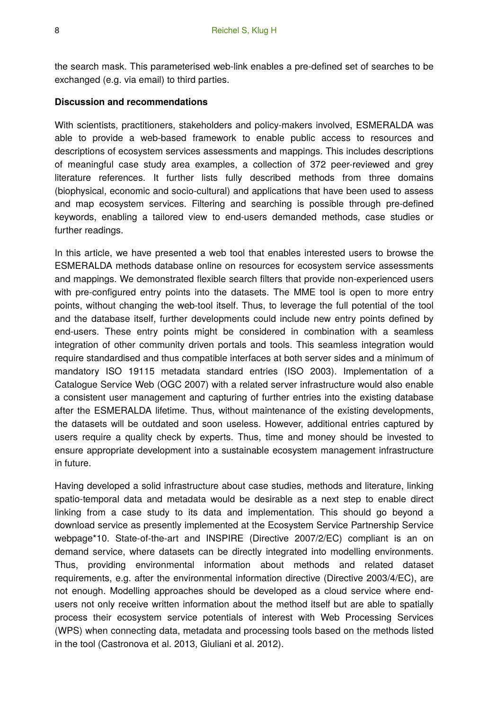the search mask. This parameterised web-link enables a pre-defined set of searches to be exchanged (e.g. via email) to third parties.

#### **Discussion and recommendations**

With scientists, practitioners, stakeholders and policy-makers involved, ESMERALDA was able to provide a web-based framework to enable public access to resources and descriptions of ecosystem services assessments and mappings. This includes descriptions of meaningful case study area examples, a collection of 372 peer-reviewed and grey literature references. It further lists fully described methods from three domains (biophysical, economic and socio-cultural) and applications that have been used to assess and map ecosystem services. Filtering and searching is possible through pre-defined keywords, enabling a tailored view to end-users demanded methods, case studies or further readings.

In this article, we have presented a web tool that enables interested users to browse the ESMERALDA methods database online on resources for ecosystem service assessments and mappings. We demonstrated flexible search filters that provide non-experienced users with pre-configured entry points into the datasets. The MME tool is open to more entry points, without changing the web-tool itself. Thus, to leverage the full potential of the tool and the database itself, further developments could include new entry points defined by end-users. These entry points might be considered in combination with a seamless integration of other community driven portals and tools. This seamless integration would require standardised and thus compatible interfaces at both server sides and a minimum of mandatory ISO 19115 metadata standard entries (ISO 2003). Implementation of a Catalogue Service Web (OGC 2007) with a related server infrastructure would also enable a consistent user management and capturing of further entries into the existing database after the ESMERALDA lifetime. Thus, without maintenance of the existing developments, the datasets will be outdated and soon useless. However, additional entries captured by users require a quality check by experts. Thus, time and money should be invested to ensure appropriate development into a sustainable ecosystem management infrastructure in future.

Having developed a solid infrastructure about case studies, methods and literature, linking spatio-temporal data and metadata would be desirable as a next step to enable direct linking from a case study to its data and implementation. This should go beyond a download service as presently implemented at the Ecosystem Service Partnership Service webpage\*10. State-of-the-art and INSPIRE (Directive 2007/2/EC) compliant is an on demand service, where datasets can be directly integrated into modelling environments. Thus, providing environmental information about methods and related dataset requirements, e.g. after the environmental information directive (Directive 2003/4/EC), are not enough. Modelling approaches should be developed as a cloud service where endusers not only receive written information about the method itself but are able to spatially process their ecosystem service potentials of interest with Web Processing Services (WPS) when connecting data, metadata and processing tools based on the methods listed in the tool (Castronova et al. 2013, Giuliani et al. 2012).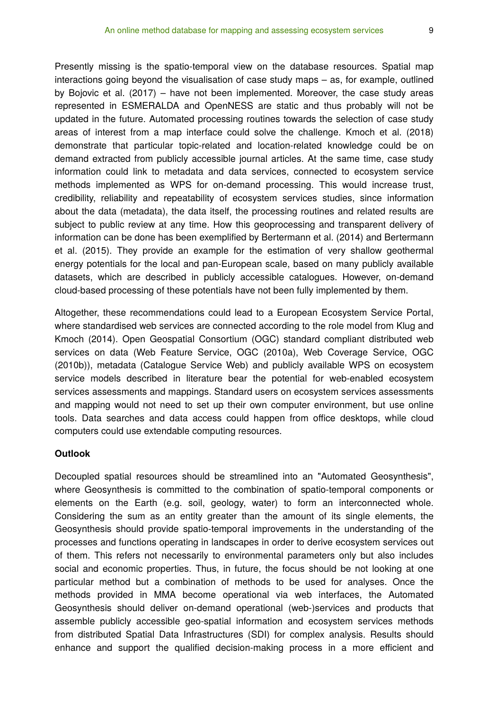Presently missing is the spatio-temporal view on the database resources. Spatial map interactions going beyond the visualisation of case study maps – as, for example, outlined by Bojovic et al. (2017) – have not been implemented. Moreover, the case study areas represented in ESMERALDA and OpenNESS are static and thus probably will not be updated in the future. Automated processing routines towards the selection of case study areas of interest from a map interface could solve the challenge. Kmoch et al. (2018) demonstrate that particular topic-related and location-related knowledge could be on demand extracted from publicly accessible journal articles. At the same time, case study information could link to metadata and data services, connected to ecosystem service methods implemented as WPS for on-demand processing. This would increase trust, credibility, reliability and repeatability of ecosystem services studies, since information about the data (metadata), the data itself, the processing routines and related results are subject to public review at any time. How this geoprocessing and transparent delivery of information can be done has been exemplified by Bertermann et al. (2014) and Bertermann et al. (2015). They provide an example for the estimation of very shallow geothermal energy potentials for the local and pan-European scale, based on many publicly available datasets, which are described in publicly accessible catalogues. However, on-demand cloud-based processing of these potentials have not been fully implemented by them.

Altogether, these recommendations could lead to a European Ecosystem Service Portal, where standardised web services are connected according to the role model from Klug and Kmoch (2014). Open Geospatial Consortium (OGC) standard compliant distributed web services on data (Web Feature Service, OGC (2010a), Web Coverage Service, OGC (2010b)), metadata (Catalogue Service Web) and publicly available WPS on ecosystem service models described in literature bear the potential for web-enabled ecosystem services assessments and mappings. Standard users on ecosystem services assessments and mapping would not need to set up their own computer environment, but use online tools. Data searches and data access could happen from office desktops, while cloud computers could use extendable computing resources.

#### **Outlook**

Decoupled spatial resources should be streamlined into an "Automated Geosynthesis", where Geosynthesis is committed to the combination of spatio-temporal components or elements on the Earth (e.g. soil, geology, water) to form an interconnected whole. Considering the sum as an entity greater than the amount of its single elements, the Geosynthesis should provide spatio-temporal improvements in the understanding of the processes and functions operating in landscapes in order to derive ecosystem services out of them. This refers not necessarily to environmental parameters only but also includes social and economic properties. Thus, in future, the focus should be not looking at one particular method but a combination of methods to be used for analyses. Once the methods provided in MMA become operational via web interfaces, the Automated Geosynthesis should deliver on-demand operational (web-)services and products that assemble publicly accessible geo-spatial information and ecosystem services methods from distributed Spatial Data Infrastructures (SDI) for complex analysis. Results should enhance and support the qualified decision-making process in a more efficient and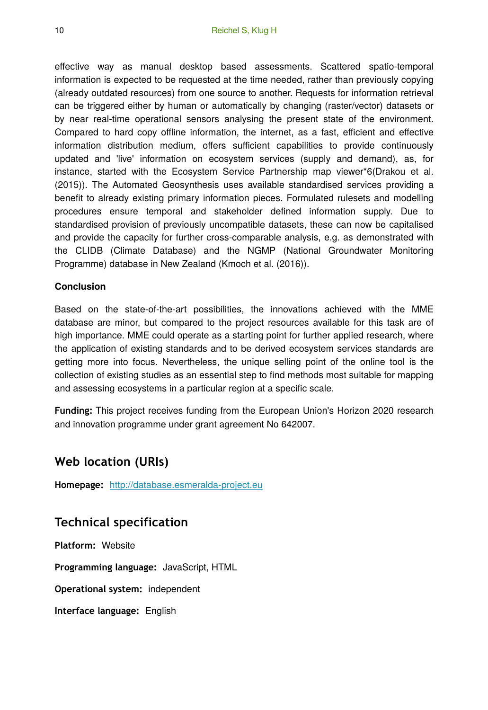effective way as manual desktop based assessments. Scattered spatio-temporal information is expected to be requested at the time needed, rather than previously copying (already outdated resources) from one source to another. Requests for information retrieval can be triggered either by human or automatically by changing (raster/vector) datasets or by near real-time operational sensors analysing the present state of the environment. Compared to hard copy offline information, the internet, as a fast, efficient and effective information distribution medium, offers sufficient capabilities to provide continuously updated and 'live' information on ecosystem services (supply and demand), as, for instance, started with the Ecosystem Service Partnership map viewer\*6(Drakou et al. (2015)). The Automated Geosynthesis uses available standardised services providing a benefit to already existing primary information pieces. Formulated rulesets and modelling procedures ensure temporal and stakeholder defined information supply. Due to standardised provision of previously uncompatible datasets, these can now be capitalised and provide the capacity for further cross-comparable analysis, e.g. as demonstrated with the CLIDB (Climate Database) and the NGMP (National Groundwater Monitoring Programme) database in New Zealand (Kmoch et al. (2016)).

### **Conclusion**

Based on the state-of-the-art possibilities, the innovations achieved with the MME database are minor, but compared to the project resources available for this task are of high importance. MME could operate as a starting point for further applied research, where the application of existing standards and to be derived ecosystem services standards are getting more into focus. Nevertheless, the unique selling point of the online tool is the collection of existing studies as an essential step to find methods most suitable for mapping and assessing ecosystems in a particular region at a specific scale.

**Funding:** This project receives funding from the European Union's Horizon 2020 research and innovation programme under grant agreement No 642007.

# **Web location (URIs)**

**Homepage:** <http://database.esmeralda-project.eu>

# **Technical specification**

**Platform:** Website **Programming language:** JavaScript, HTML **Operational system:** independent **Interface language:** English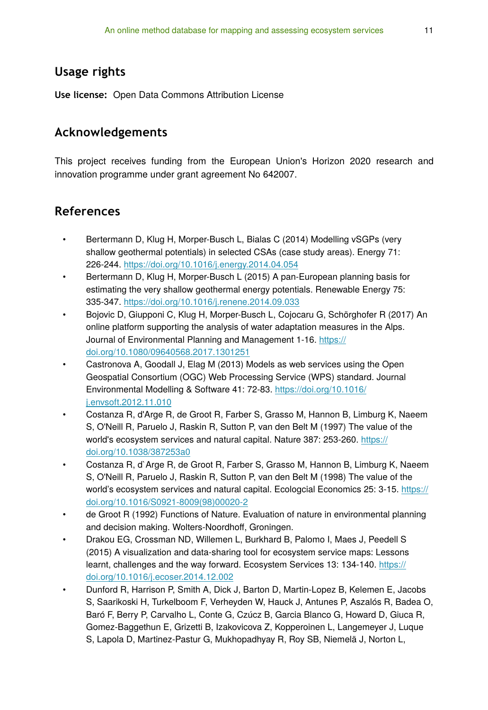# **Usage rights**

**Use license:** Open Data Commons Attribution License

### **Acknowledgements**

This project receives funding from the European Union's Horizon 2020 research and innovation programme under grant agreement No 642007.

### **References**

- Bertermann D, Klug H, Morper-Busch L, Bialas C (2014) Modelling vSGPs (very shallow geothermal potentials) in selected CSAs (case study areas). Energy 71: 226‑244. <https://doi.org/10.1016/j.energy.2014.04.054>
- Bertermann D, Klug H, Morper-Busch L (2015) A pan-European planning basis for estimating the very shallow geothermal energy potentials. Renewable Energy 75: 335‑347. <https://doi.org/10.1016/j.renene.2014.09.033>
- Bojovic D, Giupponi C, Klug H, Morper-Busch L, Cojocaru G, Schörghofer R (2017) An online platform supporting the analysis of water adaptation measures in the Alps. Journal of Environmental Planning and Management 1‑16. [https://](https://doi.org/10.1080/09640568.2017.1301251) [doi.org/10.1080/09640568.2017.1301251](https://doi.org/10.1080/09640568.2017.1301251)
- Castronova A, Goodall J, Elag M (2013) Models as web services using the Open Geospatial Consortium (OGC) Web Processing Service (WPS) standard. Journal Environmental Modelling & Software 41: 72‑83. [https://doi.org/10.1016/](https://doi.org/10.1016/j.envsoft.2012.11.010) [j.envsoft.2012.11.010](https://doi.org/10.1016/j.envsoft.2012.11.010)
- Costanza R, d'Arge R, de Groot R, Farber S, Grasso M, Hannon B, Limburg K, Naeem S, O'Neill R, Paruelo J, Raskin R, Sutton P, van den Belt M (1997) The value of the world's ecosystem services and natural capital. Nature 387: 253‑260. [https://](https://doi.org/10.1038/387253a0) [doi.org/10.1038/387253a0](https://doi.org/10.1038/387253a0)
- Costanza R, d`Arge R, de Groot R, Farber S, Grasso M, Hannon B, Limburg K, Naeem S, O'Neill R, Paruelo J, Raskin R, Sutton P, van den Belt M (1998) The value of the world's ecosystem services and natural capital. Ecologcial Economics 25: 3-15. [https://](https://doi.org/10.1016/S0921-8009(98)00020-2) [doi.org/10.1016/S0921-8009\(98\)00020-2](https://doi.org/10.1016/S0921-8009(98)00020-2)
- de Groot R (1992) Functions of Nature. Evaluation of nature in environmental planning and decision making. Wolters-Noordhoff, Groningen.
- Drakou EG, Crossman ND, Willemen L, Burkhard B, Palomo I, Maes J, Peedell S (2015) A visualization and data-sharing tool for ecosystem service maps: Lessons learnt, challenges and the way forward. Ecosystem Services 13: 134-140. [https://](https://doi.org/10.1016/j.ecoser.2014.12.002) [doi.org/10.1016/j.ecoser.2014.12.002](https://doi.org/10.1016/j.ecoser.2014.12.002)
- Dunford R, Harrison P, Smith A, Dick J, Barton D, Martin-Lopez B, Kelemen E, Jacobs S, Saarikoski H, Turkelboom F, Verheyden W, Hauck J, Antunes P, Aszalós R, Badea O, Baró F, Berry P, Carvalho L, Conte G, Czúcz B, Garcia Blanco G, Howard D, Giuca R, Gomez-Baggethun E, Grizetti B, Izakovicova Z, Kopperoinen L, Langemeyer J, Luque S, Lapola D, Martinez-Pastur G, Mukhopadhyay R, Roy SB, Niemelä J, Norton L,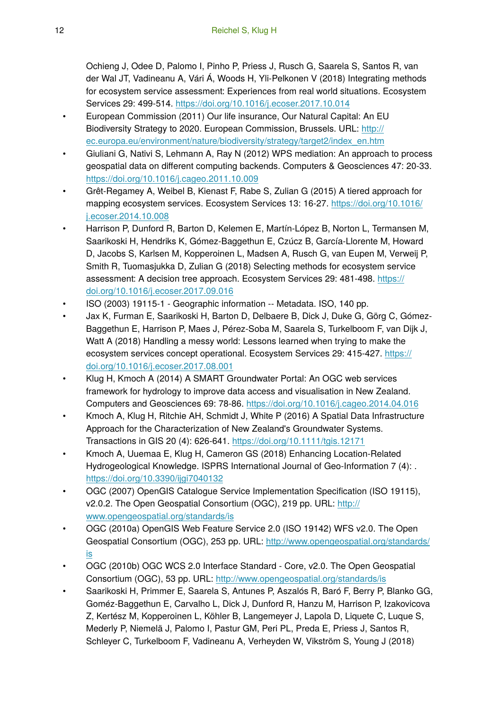Ochieng J, Odee D, Palomo I, Pinho P, Priess J, Rusch G, Saarela S, Santos R, van der Wal JT, Vadineanu A, Vári Á, Woods H, Yli-Pelkonen V (2018) Integrating methods for ecosystem service assessment: Experiences from real world situations. Ecosystem Services 29: 499‑514.<https://doi.org/10.1016/j.ecoser.2017.10.014>

- European Commission (2011) Our life insurance, Our Natural Capital: An EU Biodiversity Strategy to 2020. European Commission, Brussels. URL: [http://](http://ec.europa.eu/environment/nature/biodiversity/strategy/target2/index_en.htm) [ec.europa.eu/environment/nature/biodiversity/strategy/target2/index\\_en.htm](http://ec.europa.eu/environment/nature/biodiversity/strategy/target2/index_en.htm)
- Giuliani G, Nativi S, Lehmann A, Ray N (2012) WPS mediation: An approach to process geospatial data on different computing backends. Computers & Geosciences 47: 20‑33. <https://doi.org/10.1016/j.cageo.2011.10.009>
- Grêt-Regamey A, Weibel B, Kienast F, Rabe S, Zulian G (2015) A tiered approach for mapping ecosystem services. Ecosystem Services 13: 16-27. [https://doi.org/10.1016/](https://doi.org/10.1016/j.ecoser.2014.10.008) [j.ecoser.2014.10.008](https://doi.org/10.1016/j.ecoser.2014.10.008)
- Harrison P, Dunford R, Barton D, Kelemen E, Martín-López B, Norton L, Termansen M, Saarikoski H, Hendriks K, Gómez-Baggethun E, Czúcz B, García-Llorente M, Howard D, Jacobs S, Karlsen M, Kopperoinen L, Madsen A, Rusch G, van Eupen M, Verweij P, Smith R, Tuomasjukka D, Zulian G (2018) Selecting methods for ecosystem service assessment: A decision tree approach. Ecosystem Services 29: 481‑498. [https://](https://doi.org/10.1016/j.ecoser.2017.09.016) [doi.org/10.1016/j.ecoser.2017.09.016](https://doi.org/10.1016/j.ecoser.2017.09.016)
- ISO (2003) 19115-1 Geographic information -- Metadata. ISO, 140 pp.
- Jax K, Furman E, Saarikoski H, Barton D, Delbaere B, Dick J, Duke G, Görg C, Gómez-Baggethun E, Harrison P, Maes J, Pérez-Soba M, Saarela S, Turkelboom F, van Dijk J, Watt A (2018) Handling a messy world: Lessons learned when trying to make the ecosystem services concept operational. Ecosystem Services 29: 415-427. [https://](https://doi.org/10.1016/j.ecoser.2017.08.001) [doi.org/10.1016/j.ecoser.2017.08.001](https://doi.org/10.1016/j.ecoser.2017.08.001)
- Klug H, Kmoch A (2014) A SMART Groundwater Portal: An OGC web services framework for hydrology to improve data access and visualisation in New Zealand. Computers and Geosciences 69: 78‑86. <https://doi.org/10.1016/j.cageo.2014.04.016>
- Kmoch A, Klug H, Ritchie AH, Schmidt J, White P (2016) A Spatial Data Infrastructure Approach for the Characterization of New Zealand's Groundwater Systems. Transactions in GIS 20 (4): 626‑641.<https://doi.org/10.1111/tgis.12171>
- Kmoch A, Uuemaa E, Klug H, Cameron GS (2018) Enhancing Location-Related Hydrogeological Knowledge. ISPRS International Journal of Geo-Information 7 (4): . <https://doi.org/10.3390/ijgi7040132>
- OGC (2007) OpenGIS Catalogue Service Implementation Specification (ISO 19115), v2.0.2. The Open Geospatial Consortium (OGC), 219 pp. URL: [http://](http://www.opengeospatial.org/standards/is) [www.opengeospatial.org/standards/is](http://www.opengeospatial.org/standards/is)
- OGC (2010a) OpenGIS Web Feature Service 2.0 (ISO 19142) WFS v2.0. The Open Geospatial Consortium (OGC), 253 pp. URL: [http://www.opengeospatial.org/standards/](http://www.opengeospatial.org/standards/is) [is](http://www.opengeospatial.org/standards/is)
- OGC (2010b) OGC WCS 2.0 Interface Standard Core, v2.0. The Open Geospatial Consortium (OGC), 53 pp. URL: <http://www.opengeospatial.org/standards/is>
- Saarikoski H, Primmer E, Saarela S, Antunes P, Aszalós R, Baró F, Berry P, Blanko GG, Goméz-Baggethun E, Carvalho L, Dick J, Dunford R, Hanzu M, Harrison P, Izakovicova Z, Kertész M, Kopperoinen L, Köhler B, Langemeyer J, Lapola D, Liquete C, Luque S, Mederly P, Niemelä J, Palomo I, Pastur GM, Peri PL, Preda E, Priess J, Santos R, Schleyer C, Turkelboom F, Vadineanu A, Verheyden W, Vikström S, Young J (2018)